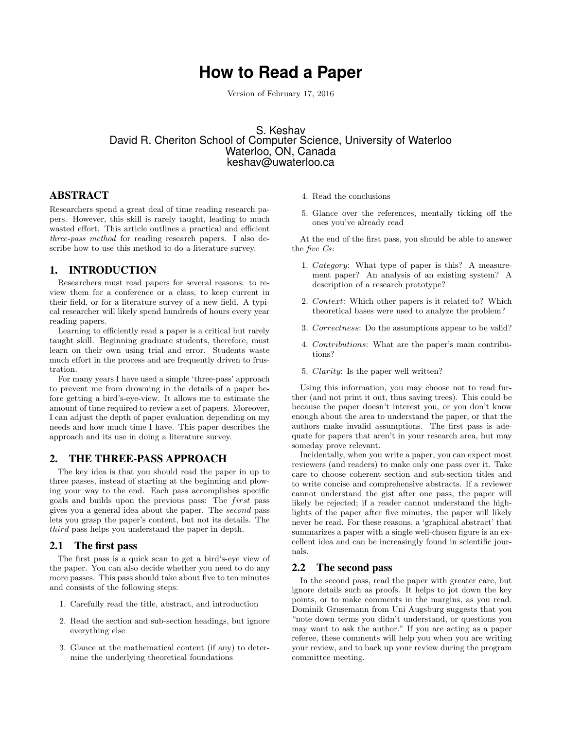# **How to Read a Paper**

Version of February 17, 2016

# S. Keshav David R. Cheriton School of Computer Science, University of Waterloo Waterloo, ON, Canada keshav@uwaterloo.ca

## ABSTRACT

Researchers spend a great deal of time reading research papers. However, this skill is rarely taught, leading to much wasted effort. This article outlines a practical and efficient three-pass method for reading research papers. I also describe how to use this method to do a literature survey.

### 1. INTRODUCTION

Researchers must read papers for several reasons: to review them for a conference or a class, to keep current in their field, or for a literature survey of a new field. A typical researcher will likely spend hundreds of hours every year reading papers.

Learning to efficiently read a paper is a critical but rarely taught skill. Beginning graduate students, therefore, must learn on their own using trial and error. Students waste much effort in the process and are frequently driven to frustration.

For many years I have used a simple 'three-pass' approach to prevent me from drowning in the details of a paper before getting a bird's-eye-view. It allows me to estimate the amount of time required to review a set of papers. Moreover, I can adjust the depth of paper evaluation depending on my needs and how much time I have. This paper describes the approach and its use in doing a literature survey.

#### 2. THE THREE-PASS APPROACH

The key idea is that you should read the paper in up to three passes, instead of starting at the beginning and plowing your way to the end. Each pass accomplishes specific goals and builds upon the previous pass: The *first* pass gives you a general idea about the paper. The second pass lets you grasp the paper's content, but not its details. The third pass helps you understand the paper in depth.

#### 2.1 The first pass

The first pass is a quick scan to get a bird's-eye view of the paper. You can also decide whether you need to do any more passes. This pass should take about five to ten minutes and consists of the following steps:

- 1. Carefully read the title, abstract, and introduction
- 2. Read the section and sub-section headings, but ignore everything else
- 3. Glance at the mathematical content (if any) to determine the underlying theoretical foundations
- 4. Read the conclusions
- 5. Glance over the references, mentally ticking off the ones you've already read

At the end of the first pass, you should be able to answer the five Cs:

- 1. Category: What type of paper is this? A measurement paper? An analysis of an existing system? A description of a research prototype?
- 2. Context: Which other papers is it related to? Which theoretical bases were used to analyze the problem?
- 3. Correctness: Do the assumptions appear to be valid?
- 4. Contributions: What are the paper's main contributions?
- 5. Clarity: Is the paper well written?

Using this information, you may choose not to read further (and not print it out, thus saving trees). This could be because the paper doesn't interest you, or you don't know enough about the area to understand the paper, or that the authors make invalid assumptions. The first pass is adequate for papers that aren't in your research area, but may someday prove relevant.

Incidentally, when you write a paper, you can expect most reviewers (and readers) to make only one pass over it. Take care to choose coherent section and sub-section titles and to write concise and comprehensive abstracts. If a reviewer cannot understand the gist after one pass, the paper will likely be rejected; if a reader cannot understand the highlights of the paper after five minutes, the paper will likely never be read. For these reasons, a 'graphical abstract' that summarizes a paper with a single well-chosen figure is an excellent idea and can be increasingly found in scientific journals.

#### 2.2 The second pass

In the second pass, read the paper with greater care, but ignore details such as proofs. It helps to jot down the key points, or to make comments in the margins, as you read. Dominik Grusemann from Uni Augsburg suggests that you "note down terms you didn't understand, or questions you may want to ask the author." If you are acting as a paper referee, these comments will help you when you are writing your review, and to back up your review during the program committee meeting.